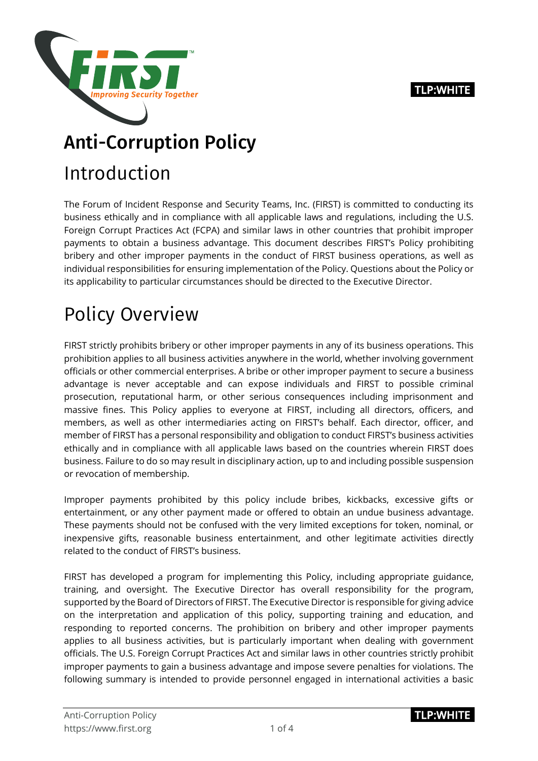#### **TLP:WHITE**



## Anti-Corruption Policy

## Introduction

The Forum of Incident Response and Security Teams, Inc. (FIRST) is committed to conducting its business ethically and in compliance with all applicable laws and regulations, including the U.S. Foreign Corrupt Practices Act (FCPA) and similar laws in other countries that prohibit improper payments to obtain a business advantage. This document describes FIRST's Policy prohibiting bribery and other improper payments in the conduct of FIRST business operations, as well as individual responsibilities for ensuring implementation of the Policy. Questions about the Policy or its applicability to particular circumstances should be directed to the Executive Director.

# Policy Overview

FIRST strictly prohibits bribery or other improper payments in any of its business operations. This prohibition applies to all business activities anywhere in the world, whether involving government officials or other commercial enterprises. A bribe or other improper payment to secure a business advantage is never acceptable and can expose individuals and FIRST to possible criminal prosecution, reputational harm, or other serious consequences including imprisonment and massive fines. This Policy applies to everyone at FIRST, including all directors, officers, and members, as well as other intermediaries acting on FIRST's behalf. Each director, officer, and member of FIRST has a personal responsibility and obligation to conduct FIRST's business activities ethically and in compliance with all applicable laws based on the countries wherein FIRST does business. Failure to do so may result in disciplinary action, up to and including possible suspension or revocation of membership.

Improper payments prohibited by this policy include bribes, kickbacks, excessive gifts or entertainment, or any other payment made or offered to obtain an undue business advantage. These payments should not be confused with the very limited exceptions for token, nominal, or inexpensive gifts, reasonable business entertainment, and other legitimate activities directly related to the conduct of FIRST's business.

FIRST has developed a program for implementing this Policy, including appropriate guidance, training, and oversight. The Executive Director has overall responsibility for the program, supported by the Board of Directors of FIRST. The Executive Director is responsible for giving advice on the interpretation and application of this policy, supporting training and education, and responding to reported concerns. The prohibition on bribery and other improper payments applies to all business activities, but is particularly important when dealing with government officials. The U.S. Foreign Corrupt Practices Act and similar laws in other countries strictly prohibit improper payments to gain a business advantage and impose severe penalties for violations. The following summary is intended to provide personnel engaged in international activities a basic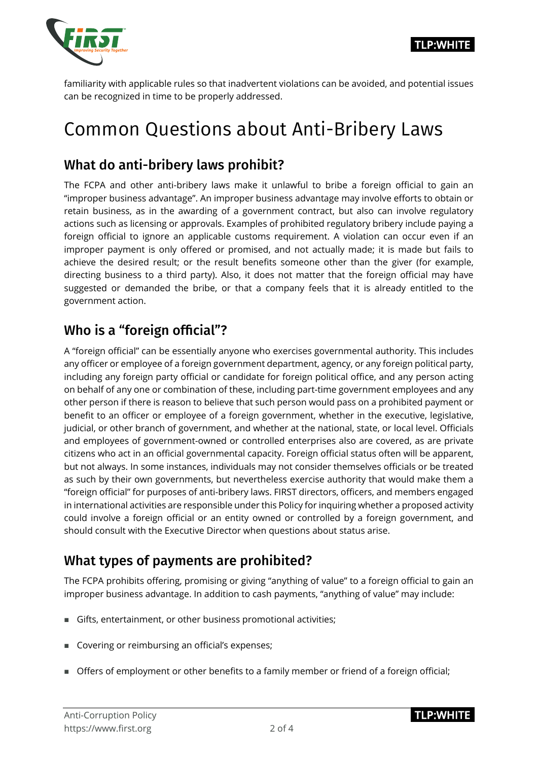

**TLP:WHITE** 

familiarity with applicable rules so that inadvertent violations can be avoided, and potential issues can be recognized in time to be properly addressed.

## Common Questions about Anti-Bribery Laws

#### What do anti-bribery laws prohibit?

The FCPA and other anti-bribery laws make it unlawful to bribe a foreign official to gain an "improper business advantage". An improper business advantage may involve efforts to obtain or retain business, as in the awarding of a government contract, but also can involve regulatory actions such as licensing or approvals. Examples of prohibited regulatory bribery include paying a foreign official to ignore an applicable customs requirement. A violation can occur even if an improper payment is only offered or promised, and not actually made; it is made but fails to achieve the desired result; or the result benefits someone other than the giver (for example, directing business to a third party). Also, it does not matter that the foreign official may have suggested or demanded the bribe, or that a company feels that it is already entitled to the government action.

### Who is a "foreign official"?

A "foreign official" can be essentially anyone who exercises governmental authority. This includes any officer or employee of a foreign government department, agency, or any foreign political party, including any foreign party official or candidate for foreign political office, and any person acting on behalf of any one or combination of these, including part-time government employees and any other person if there is reason to believe that such person would pass on a prohibited payment or benefit to an officer or employee of a foreign government, whether in the executive, legislative, judicial, or other branch of government, and whether at the national, state, or local level. Officials and employees of government-owned or controlled enterprises also are covered, as are private citizens who act in an official governmental capacity. Foreign official status often will be apparent, but not always. In some instances, individuals may not consider themselves officials or be treated as such by their own governments, but nevertheless exercise authority that would make them a "foreign official" for purposes of anti-bribery laws. FIRST directors, officers, and members engaged in international activities are responsible under this Policy for inquiring whether a proposed activity could involve a foreign official or an entity owned or controlled by a foreign government, and should consult with the Executive Director when questions about status arise.

### What types of payments are prohibited?

The FCPA prohibits offering, promising or giving "anything of value" to a foreign official to gain an improper business advantage. In addition to cash payments, "anything of value" may include:

- Gifts, entertainment, or other business promotional activities;
- Covering or reimbursing an official's expenses;
- Offers of employment or other benefits to a family member or friend of a foreign official;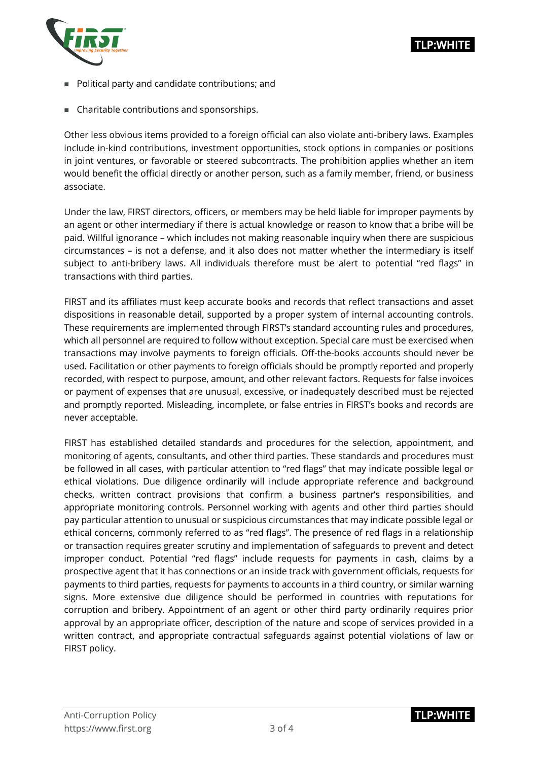

- **Political party and candidate contributions; and**
- Charitable contributions and sponsorships.

Other less obvious items provided to a foreign official can also violate anti-bribery laws. Examples include in-kind contributions, investment opportunities, stock options in companies or positions in joint ventures, or favorable or steered subcontracts. The prohibition applies whether an item would benefit the official directly or another person, such as a family member, friend, or business associate.

Under the law, FIRST directors, officers, or members may be held liable for improper payments by an agent or other intermediary if there is actual knowledge or reason to know that a bribe will be paid. Willful ignorance – which includes not making reasonable inquiry when there are suspicious circumstances – is not a defense, and it also does not matter whether the intermediary is itself subject to anti-bribery laws. All individuals therefore must be alert to potential "red flags" in transactions with third parties.

FIRST and its affiliates must keep accurate books and records that reflect transactions and asset dispositions in reasonable detail, supported by a proper system of internal accounting controls. These requirements are implemented through FIRST's standard accounting rules and procedures, which all personnel are required to follow without exception. Special care must be exercised when transactions may involve payments to foreign officials. Off-the-books accounts should never be used. Facilitation or other payments to foreign officials should be promptly reported and properly recorded, with respect to purpose, amount, and other relevant factors. Requests for false invoices or payment of expenses that are unusual, excessive, or inadequately described must be rejected and promptly reported. Misleading, incomplete, or false entries in FIRST's books and records are never acceptable.

FIRST has established detailed standards and procedures for the selection, appointment, and monitoring of agents, consultants, and other third parties. These standards and procedures must be followed in all cases, with particular attention to "red flags" that may indicate possible legal or ethical violations. Due diligence ordinarily will include appropriate reference and background checks, written contract provisions that confirm a business partner's responsibilities, and appropriate monitoring controls. Personnel working with agents and other third parties should pay particular attention to unusual or suspicious circumstances that may indicate possible legal or ethical concerns, commonly referred to as "red flags". The presence of red flags in a relationship or transaction requires greater scrutiny and implementation of safeguards to prevent and detect improper conduct. Potential "red flags" include requests for payments in cash, claims by a prospective agent that it has connections or an inside track with government officials, requests for payments to third parties, requests for payments to accounts in a third country, or similar warning signs. More extensive due diligence should be performed in countries with reputations for corruption and bribery. Appointment of an agent or other third party ordinarily requires prior approval by an appropriate officer, description of the nature and scope of services provided in a written contract, and appropriate contractual safeguards against potential violations of law or FIRST policy.